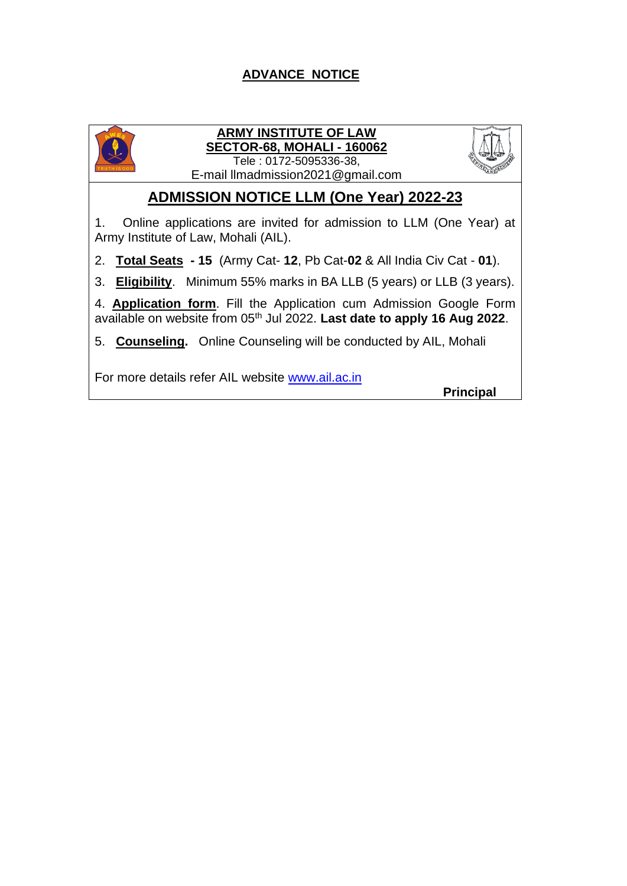#### **ADVANCE NOTICE**